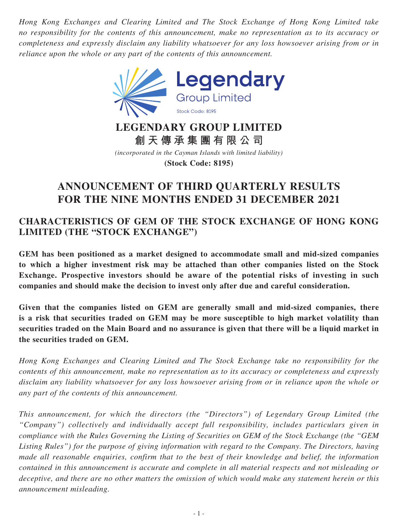*Hong Kong Exchanges and Clearing Limited and The Stock Exchange of Hong Kong Limited take no responsibility for the contents of this announcement, make no representation as to its accuracy or completeness and expressly disclaim any liability whatsoever for any loss howsoever arising from or in reliance upon the whole or any part of the contents of this announcement.*



# **LEGENDARY GROUP LIMITED 創天傳承集團有限公司**

*(incorporated in the Cayman Islands with limited liability)* **(Stock Code: 8195)**

# **ANNOUNCEMENT OF THIRD QUARTERLY RESULTS FOR THE NINE MONTHS ENDED 31 DECEMBER 2021**

# **CHARACTERISTICS OF GEM OF THE STOCK EXCHANGE OF HONG KONG LIMITED (THE "STOCK EXCHANGE")**

**GEM has been positioned as a market designed to accommodate small and mid-sized companies to which a higher investment risk may be attached than other companies listed on the Stock Exchange. Prospective investors should be aware of the potential risks of investing in such companies and should make the decision to invest only after due and careful consideration.**

**Given that the companies listed on GEM are generally small and mid-sized companies, there is a risk that securities traded on GEM may be more susceptible to high market volatility than securities traded on the Main Board and no assurance is given that there will be a liquid market in the securities traded on GEM.**

*Hong Kong Exchanges and Clearing Limited and The Stock Exchange take no responsibility for the contents of this announcement, make no representation as to its accuracy or completeness and expressly disclaim any liability whatsoever for any loss howsoever arising from or in reliance upon the whole or any part of the contents of this announcement.*

*This announcement, for which the directors (the "Directors") of Legendary Group Limited (the "Company") collectively and individually accept full responsibility, includes particulars given in compliance with the Rules Governing the Listing of Securities on GEM of the Stock Exchange (the "GEM Listing Rules") for the purpose of giving information with regard to the Company. The Directors, having made all reasonable enquiries, confirm that to the best of their knowledge and belief, the information contained in this announcement is accurate and complete in all material respects and not misleading or deceptive, and there are no other matters the omission of which would make any statement herein or this announcement misleading.*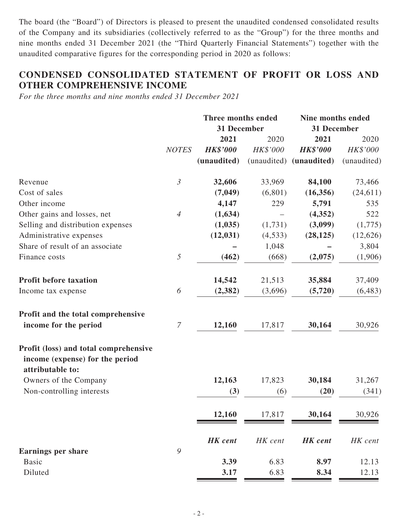The board (the "Board") of Directors is pleased to present the unaudited condensed consolidated results of the Company and its subsidiaries (collectively referred to as the "Group") for the three months and nine months ended 31 December 2021 (the "Third Quarterly Financial Statements") together with the unaudited comparative figures for the corresponding period in 2020 as follows:

## **CONDENSED CONSOLIDATED STATEMENT OF PROFIT OR LOSS AND OTHER COMPREHENSIVE INCOME**

*For the three months and nine months ended 31 December 2021*

| 31 December<br>31 December<br>2021<br>2021<br>2020<br>2020<br>HK\$'000<br><b>HK\$'000</b><br>HK\$'000<br><b>HK\$'000</b><br><b>NOTES</b><br>(unaudited) (unaudited)<br>(unaudited)<br>(unaudited)<br>$\mathfrak{Z}$<br>32,606<br>33,969<br>84,100<br>73,466<br>Revenue<br>Cost of sales<br>(7,049)<br>(6,801)<br>(16, 356)<br>(24, 611)<br>Other income<br>4,147<br>229<br>5,791<br>535<br>Other gains and losses, net<br>(1,634)<br>(4,352)<br>522<br>$\overline{4}$<br>(1,035)<br>(3,099)<br>Selling and distribution expenses<br>(1,731)<br>(1,775)<br>(12, 031)<br>Administrative expenses<br>(4,533)<br>(28, 125)<br>(12,626)<br>Share of result of an associate<br>3,804<br>1,048<br>5<br>(462)<br>(668)<br>(2,075)<br>Finance costs<br>14,542<br><b>Profit before taxation</b><br>21,513<br>35,884<br>37,409<br>6<br>(2, 382)<br>(3,696)<br>(5,720)<br>(6, 483)<br>Income tax expense<br>Profit and the total comprehensive<br>$\overline{7}$<br>income for the period<br>12,160<br>17,817<br>30,926<br>30,164<br>Profit (loss) and total comprehensive<br>income (expense) for the period<br>attributable to:<br>12,163<br>Owners of the Company<br>17,823<br>30,184<br>31,267<br>Non-controlling interests<br>(3)<br>(20)<br>(6)<br>12,160<br>30,164<br>30,926<br>17,817<br><b>HK</b> cent<br><b>HK</b> cent<br>HK cent<br>HK cent<br>9<br><b>Earnings per share</b><br><b>Basic</b><br>3.39<br>6.83<br>8.97<br>12.13 |         | <b>Three months ended</b> |      | Nine months ended |         |  |
|--------------------------------------------------------------------------------------------------------------------------------------------------------------------------------------------------------------------------------------------------------------------------------------------------------------------------------------------------------------------------------------------------------------------------------------------------------------------------------------------------------------------------------------------------------------------------------------------------------------------------------------------------------------------------------------------------------------------------------------------------------------------------------------------------------------------------------------------------------------------------------------------------------------------------------------------------------------------------------------------------------------------------------------------------------------------------------------------------------------------------------------------------------------------------------------------------------------------------------------------------------------------------------------------------------------------------------------------------------------------------------------------------------------------------------|---------|---------------------------|------|-------------------|---------|--|
|                                                                                                                                                                                                                                                                                                                                                                                                                                                                                                                                                                                                                                                                                                                                                                                                                                                                                                                                                                                                                                                                                                                                                                                                                                                                                                                                                                                                                                |         |                           |      |                   |         |  |
|                                                                                                                                                                                                                                                                                                                                                                                                                                                                                                                                                                                                                                                                                                                                                                                                                                                                                                                                                                                                                                                                                                                                                                                                                                                                                                                                                                                                                                |         |                           |      |                   |         |  |
|                                                                                                                                                                                                                                                                                                                                                                                                                                                                                                                                                                                                                                                                                                                                                                                                                                                                                                                                                                                                                                                                                                                                                                                                                                                                                                                                                                                                                                |         |                           |      |                   |         |  |
|                                                                                                                                                                                                                                                                                                                                                                                                                                                                                                                                                                                                                                                                                                                                                                                                                                                                                                                                                                                                                                                                                                                                                                                                                                                                                                                                                                                                                                |         |                           |      |                   |         |  |
|                                                                                                                                                                                                                                                                                                                                                                                                                                                                                                                                                                                                                                                                                                                                                                                                                                                                                                                                                                                                                                                                                                                                                                                                                                                                                                                                                                                                                                |         |                           |      |                   |         |  |
|                                                                                                                                                                                                                                                                                                                                                                                                                                                                                                                                                                                                                                                                                                                                                                                                                                                                                                                                                                                                                                                                                                                                                                                                                                                                                                                                                                                                                                |         |                           |      |                   |         |  |
|                                                                                                                                                                                                                                                                                                                                                                                                                                                                                                                                                                                                                                                                                                                                                                                                                                                                                                                                                                                                                                                                                                                                                                                                                                                                                                                                                                                                                                |         |                           |      |                   |         |  |
|                                                                                                                                                                                                                                                                                                                                                                                                                                                                                                                                                                                                                                                                                                                                                                                                                                                                                                                                                                                                                                                                                                                                                                                                                                                                                                                                                                                                                                |         |                           |      |                   |         |  |
|                                                                                                                                                                                                                                                                                                                                                                                                                                                                                                                                                                                                                                                                                                                                                                                                                                                                                                                                                                                                                                                                                                                                                                                                                                                                                                                                                                                                                                |         |                           |      |                   |         |  |
|                                                                                                                                                                                                                                                                                                                                                                                                                                                                                                                                                                                                                                                                                                                                                                                                                                                                                                                                                                                                                                                                                                                                                                                                                                                                                                                                                                                                                                |         |                           |      |                   |         |  |
|                                                                                                                                                                                                                                                                                                                                                                                                                                                                                                                                                                                                                                                                                                                                                                                                                                                                                                                                                                                                                                                                                                                                                                                                                                                                                                                                                                                                                                |         |                           |      |                   |         |  |
|                                                                                                                                                                                                                                                                                                                                                                                                                                                                                                                                                                                                                                                                                                                                                                                                                                                                                                                                                                                                                                                                                                                                                                                                                                                                                                                                                                                                                                |         |                           |      |                   | (1,906) |  |
|                                                                                                                                                                                                                                                                                                                                                                                                                                                                                                                                                                                                                                                                                                                                                                                                                                                                                                                                                                                                                                                                                                                                                                                                                                                                                                                                                                                                                                |         |                           |      |                   |         |  |
|                                                                                                                                                                                                                                                                                                                                                                                                                                                                                                                                                                                                                                                                                                                                                                                                                                                                                                                                                                                                                                                                                                                                                                                                                                                                                                                                                                                                                                |         |                           |      |                   |         |  |
|                                                                                                                                                                                                                                                                                                                                                                                                                                                                                                                                                                                                                                                                                                                                                                                                                                                                                                                                                                                                                                                                                                                                                                                                                                                                                                                                                                                                                                |         |                           |      |                   |         |  |
|                                                                                                                                                                                                                                                                                                                                                                                                                                                                                                                                                                                                                                                                                                                                                                                                                                                                                                                                                                                                                                                                                                                                                                                                                                                                                                                                                                                                                                |         |                           |      |                   |         |  |
|                                                                                                                                                                                                                                                                                                                                                                                                                                                                                                                                                                                                                                                                                                                                                                                                                                                                                                                                                                                                                                                                                                                                                                                                                                                                                                                                                                                                                                |         |                           |      |                   |         |  |
|                                                                                                                                                                                                                                                                                                                                                                                                                                                                                                                                                                                                                                                                                                                                                                                                                                                                                                                                                                                                                                                                                                                                                                                                                                                                                                                                                                                                                                |         |                           |      |                   |         |  |
|                                                                                                                                                                                                                                                                                                                                                                                                                                                                                                                                                                                                                                                                                                                                                                                                                                                                                                                                                                                                                                                                                                                                                                                                                                                                                                                                                                                                                                |         |                           |      |                   | (341)   |  |
|                                                                                                                                                                                                                                                                                                                                                                                                                                                                                                                                                                                                                                                                                                                                                                                                                                                                                                                                                                                                                                                                                                                                                                                                                                                                                                                                                                                                                                |         |                           |      |                   |         |  |
|                                                                                                                                                                                                                                                                                                                                                                                                                                                                                                                                                                                                                                                                                                                                                                                                                                                                                                                                                                                                                                                                                                                                                                                                                                                                                                                                                                                                                                |         |                           |      |                   |         |  |
|                                                                                                                                                                                                                                                                                                                                                                                                                                                                                                                                                                                                                                                                                                                                                                                                                                                                                                                                                                                                                                                                                                                                                                                                                                                                                                                                                                                                                                |         |                           |      |                   |         |  |
|                                                                                                                                                                                                                                                                                                                                                                                                                                                                                                                                                                                                                                                                                                                                                                                                                                                                                                                                                                                                                                                                                                                                                                                                                                                                                                                                                                                                                                | Diluted | 3.17                      | 6.83 | 8.34              | 12.13   |  |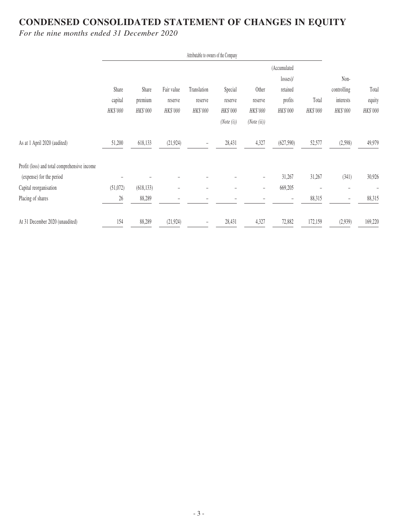# **CONDENSED CONSOLIDATED STATEMENT OF CHANGES IN EQUITY**

*For the nine months ended 31 December 2020*

|                                              |          |            |                          | Attributable to owners of the Company |            |                          |              |          |                          |                |
|----------------------------------------------|----------|------------|--------------------------|---------------------------------------|------------|--------------------------|--------------|----------|--------------------------|----------------|
|                                              |          |            |                          |                                       |            |                          | (Accumulated |          |                          |                |
|                                              |          |            |                          |                                       |            |                          | $losses$ )/  |          | Non-                     |                |
|                                              | Share    | Share      | Fair value               | Translation                           | Special    | Other                    | retained     |          | controlling              | Total          |
|                                              | capital  | premium    | reserve                  | reserve                               | reserve    | reserve                  | profits      | Total    | interests                | equity         |
|                                              | HK\$'000 | HK\$'000   | HK\$'000                 | HK\$'000                              | HK\$'000   | HK\$'000                 | HK\$'000     | HK\$'000 | HK\$'000                 | HK\$'000       |
|                                              |          |            |                          |                                       | (Note (i)) | (Note (ii))              |              |          |                          |                |
| As at 1 April 2020 (audited)                 | 51,200   | 618,133    | (21, 924)                | -                                     | 28,431     | 4,327                    | (627,590)    | 52,577   | (2,598)                  | 49,979         |
| Profit (loss) and total comprehensive income |          |            |                          |                                       |            |                          |              |          |                          |                |
| (expense) for the period                     |          |            |                          |                                       |            | $\overline{\phantom{0}}$ | 31,267       | 31,267   | (341)                    | 30,926         |
| Capital reorganisation                       | (51,072) | (618, 133) | $\overline{\phantom{a}}$ | $\overline{\phantom{m}}$              | -          | -                        | 669,205      |          |                          | $\overline{a}$ |
| Placing of shares                            | $26\,$   | 88,289     | -                        |                                       |            |                          |              | 88,315   | $\overline{\phantom{a}}$ | 88,315         |
| At 31 December 2020 (unaudited)              | 154      | 88,289     | (21, 924)                | $\overline{\phantom{m}}$              | 28,431     | 4,327                    | 72,882       | 172,159  | (2,939)                  | 169,220        |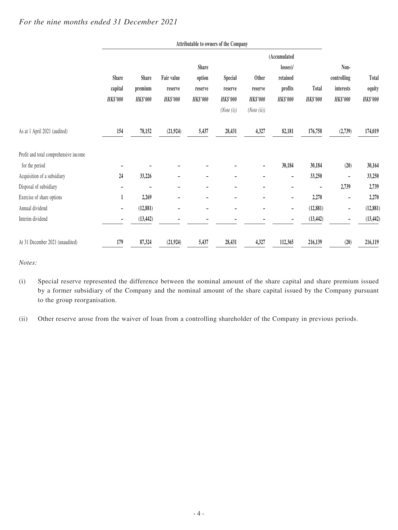|                                       |                          |                          |                          |                          | Attributable to owners of the Company |                 |                          |                 |                 |                 |
|---------------------------------------|--------------------------|--------------------------|--------------------------|--------------------------|---------------------------------------|-----------------|--------------------------|-----------------|-----------------|-----------------|
|                                       |                          |                          |                          |                          |                                       |                 | (Accumulated             |                 |                 |                 |
|                                       |                          |                          |                          | <b>Share</b>             |                                       |                 | $losses$ )/              |                 | Non-            |                 |
|                                       | <b>Share</b>             | <b>Share</b>             | Fair value               | option                   | <b>Special</b>                        | <b>Other</b>    | retained                 |                 | controlling     | Total           |
|                                       | capital                  | premium                  | reserve                  | reserve                  | reserve                               | reserve         | profits                  | Total           | interests       | equity          |
|                                       | <b>HK\$'000</b>          | <b>HK\$'000</b>          | <b>HK\$'000</b>          | <b>HK\$'000</b>          | <b>HK\$'000</b>                       | <b>HK\$'000</b> | <b>HK\$'000</b>          | <b>HK\$'000</b> | <b>HK\$'000</b> | <b>HK\$'000</b> |
|                                       |                          |                          |                          |                          | (Note (i))                            | (Note (ii))     |                          |                 |                 |                 |
| As at 1 April 2021 (audited)          | 154                      | 78,152                   | (21, 924)                | 5,437                    | 28,431                                | 4,327           | 82,181                   | 176,758         | (2,739)         | 174,019         |
| Profit and total comprehensive income |                          |                          |                          |                          |                                       |                 |                          |                 |                 |                 |
| for the period                        |                          |                          |                          |                          |                                       | -               | 30,184                   | 30,184          | (20)            | 30,164          |
| Acquisition of a subsidiary           | 24                       | 33,226                   |                          | -                        |                                       |                 |                          | 33,250          | $\overline{a}$  | 33,250          |
| Disposal of subsidiary                |                          | $\overline{\phantom{0}}$ | $\overline{\phantom{0}}$ | $\overline{\phantom{a}}$ | $\overline{a}$                        | -               |                          |                 | 2,739           | 2,739           |
| Exercise of share options             | 1                        | 2,269                    | $\overline{a}$           |                          |                                       |                 |                          | 2,270           | $\overline{a}$  | 2,270           |
| Annual dividend                       | $\overline{\phantom{a}}$ | (12, 881)                | $\overline{a}$           |                          |                                       | -               | $\overline{\phantom{a}}$ | (12, 881)       | -               | (12, 881)       |
| Interim dividend                      |                          | (13, 442)                |                          |                          |                                       |                 |                          | (13, 442)       |                 | (13, 442)       |
| At 31 December 2021 (unaudited)       | 179                      | 87,324                   | (21, 924)                | 5,437                    | 28,431                                | 4,327           | 112,365                  | 216,139         | (20)            | 216,119         |

#### *For the nine months ended 31 December 2021*

*Notes:*

(i) Special reserve represented the difference between the nominal amount of the share capital and share premium issued by a former subsidiary of the Company and the nominal amount of the share capital issued by the Company pursuant to the group reorganisation.

(ii) Other reserve arose from the waiver of loan from a controlling shareholder of the Company in previous periods.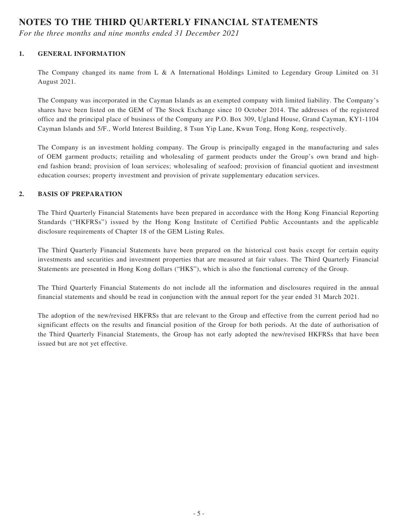# **NOTES TO THE THIRD QUARTERLY FINANCIAL STATEMENTS**

*For the three months and nine months ended 31 December 2021*

#### **1. GENERAL INFORMATION**

The Company changed its name from L & A International Holdings Limited to Legendary Group Limited on 31 August 2021.

The Company was incorporated in the Cayman Islands as an exempted company with limited liability. The Company's shares have been listed on the GEM of The Stock Exchange since 10 October 2014. The addresses of the registered office and the principal place of business of the Company are P.O. Box 309, Ugland House, Grand Cayman, KY1-1104 Cayman Islands and 5/F., World Interest Building, 8 Tsun Yip Lane, Kwun Tong, Hong Kong, respectively.

The Company is an investment holding company. The Group is principally engaged in the manufacturing and sales of OEM garment products; retailing and wholesaling of garment products under the Group's own brand and highend fashion brand; provision of loan services; wholesaling of seafood; provision of financial quotient and investment education courses; property investment and provision of private supplementary education services.

#### **2. BASIS OF PREPARATION**

The Third Quarterly Financial Statements have been prepared in accordance with the Hong Kong Financial Reporting Standards ("HKFRSs") issued by the Hong Kong Institute of Certified Public Accountants and the applicable disclosure requirements of Chapter 18 of the GEM Listing Rules.

The Third Quarterly Financial Statements have been prepared on the historical cost basis except for certain equity investments and securities and investment properties that are measured at fair values. The Third Quarterly Financial Statements are presented in Hong Kong dollars ("HK\$"), which is also the functional currency of the Group.

The Third Quarterly Financial Statements do not include all the information and disclosures required in the annual financial statements and should be read in conjunction with the annual report for the year ended 31 March 2021.

The adoption of the new/revised HKFRSs that are relevant to the Group and effective from the current period had no significant effects on the results and financial position of the Group for both periods. At the date of authorisation of the Third Quarterly Financial Statements, the Group has not early adopted the new/revised HKFRSs that have been issued but are not yet effective.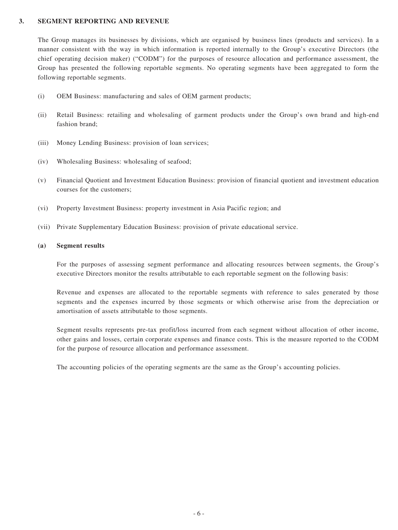#### **3. SEGMENT REPORTING AND REVENUE**

The Group manages its businesses by divisions, which are organised by business lines (products and services). In a manner consistent with the way in which information is reported internally to the Group's executive Directors (the chief operating decision maker) ("CODM") for the purposes of resource allocation and performance assessment, the Group has presented the following reportable segments. No operating segments have been aggregated to form the following reportable segments.

- (i) OEM Business: manufacturing and sales of OEM garment products;
- (ii) Retail Business: retailing and wholesaling of garment products under the Group's own brand and high-end fashion brand;
- (iii) Money Lending Business: provision of loan services;
- (iv) Wholesaling Business: wholesaling of seafood;
- (v) Financial Quotient and Investment Education Business: provision of financial quotient and investment education courses for the customers;
- (vi) Property Investment Business: property investment in Asia Pacific region; and
- (vii) Private Supplementary Education Business: provision of private educational service.

#### **(a) Segment results**

For the purposes of assessing segment performance and allocating resources between segments, the Group's executive Directors monitor the results attributable to each reportable segment on the following basis:

Revenue and expenses are allocated to the reportable segments with reference to sales generated by those segments and the expenses incurred by those segments or which otherwise arise from the depreciation or amortisation of assets attributable to those segments.

Segment results represents pre-tax profit/loss incurred from each segment without allocation of other income, other gains and losses, certain corporate expenses and finance costs. This is the measure reported to the CODM for the purpose of resource allocation and performance assessment.

The accounting policies of the operating segments are the same as the Group's accounting policies.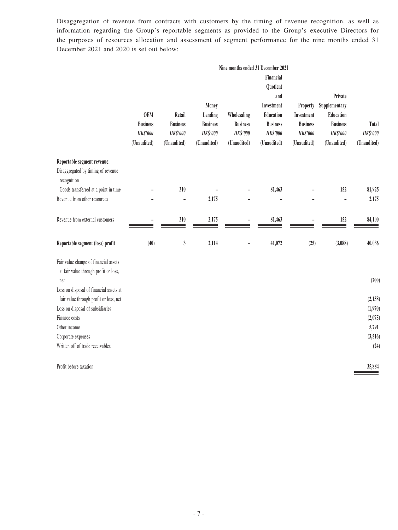Disaggregation of revenue from contracts with customers by the timing of revenue recognition, as well as information regarding the Group's reportable segments as provided to the Group's executive Directors for the purposes of resources allocation and assessment of segment performance for the nine months ended 31 December 2021 and 2020 is set out below:

|                                                                                                                                  |                                                                 |                                                             |                                                                       | Nine months ended 31 December 2021                               |                                                                                                              |                                                                             |                                                                                            |                                         |
|----------------------------------------------------------------------------------------------------------------------------------|-----------------------------------------------------------------|-------------------------------------------------------------|-----------------------------------------------------------------------|------------------------------------------------------------------|--------------------------------------------------------------------------------------------------------------|-----------------------------------------------------------------------------|--------------------------------------------------------------------------------------------|-----------------------------------------|
|                                                                                                                                  | <b>OEM</b><br><b>Business</b><br><b>HK\$'000</b><br>(Unaudited) | Retail<br><b>Business</b><br><b>HK\$'000</b><br>(Unaudited) | Money<br>Lending<br><b>Business</b><br><b>HK\$'000</b><br>(Unaudited) | Wholesaling<br><b>Business</b><br><b>HK\$'000</b><br>(Unaudited) | Financial<br>Quotient<br>and<br>Investment<br>Education<br><b>Business</b><br><b>HK\$'000</b><br>(Unaudited) | Property<br>Investment<br><b>Business</b><br><b>HK\$'000</b><br>(Unaudited) | Private<br>Supplementary<br>Education<br><b>Business</b><br><b>HK\$'000</b><br>(Unaudited) | Total<br><b>HK\$'000</b><br>(Unaudited) |
| Reportable segment revenue:<br>Disaggregated by timing of revenue<br>recognition                                                 |                                                                 |                                                             |                                                                       |                                                                  |                                                                                                              |                                                                             |                                                                                            |                                         |
| Goods transferred at a point in time                                                                                             |                                                                 | 310                                                         |                                                                       |                                                                  | 81,463                                                                                                       |                                                                             | 152                                                                                        | 81,925                                  |
| Revenue from other resources                                                                                                     |                                                                 | $\overline{a}$                                              | 2,175                                                                 |                                                                  |                                                                                                              | $\overline{\phantom{0}}$                                                    |                                                                                            | 2,175                                   |
| Revenue from external customers                                                                                                  |                                                                 | $310$                                                       | 2,175                                                                 |                                                                  | 81,463                                                                                                       |                                                                             | 152                                                                                        | 84,100                                  |
| Reportable segment (loss) profit                                                                                                 | (40)                                                            | $\mathfrak{z}$                                              | 2,114                                                                 |                                                                  | 41,072                                                                                                       | (25)                                                                        | (3,088)                                                                                    | 40,036                                  |
| Fair value change of financial assets<br>at fair value through profit or loss,<br>net<br>Loss on disposal of financial assets at |                                                                 |                                                             |                                                                       |                                                                  |                                                                                                              |                                                                             |                                                                                            | (200)                                   |
| fair value through profit or loss, net                                                                                           |                                                                 |                                                             |                                                                       |                                                                  |                                                                                                              |                                                                             |                                                                                            | (2, 158)                                |
| Loss on disposal of subsidiaries                                                                                                 |                                                                 |                                                             |                                                                       |                                                                  |                                                                                                              |                                                                             |                                                                                            | (1,970)                                 |
| Finance costs                                                                                                                    |                                                                 |                                                             |                                                                       |                                                                  |                                                                                                              |                                                                             |                                                                                            | (2,075)                                 |
| Other income                                                                                                                     |                                                                 |                                                             |                                                                       |                                                                  |                                                                                                              |                                                                             |                                                                                            | 5,791                                   |
| Corporate expenses                                                                                                               |                                                                 |                                                             |                                                                       |                                                                  |                                                                                                              |                                                                             |                                                                                            | (3,516)                                 |
| Written off of trade receivables                                                                                                 |                                                                 |                                                             |                                                                       |                                                                  |                                                                                                              |                                                                             |                                                                                            | (24)                                    |
| Profit before taxation                                                                                                           |                                                                 |                                                             |                                                                       |                                                                  |                                                                                                              |                                                                             |                                                                                            | 35,884                                  |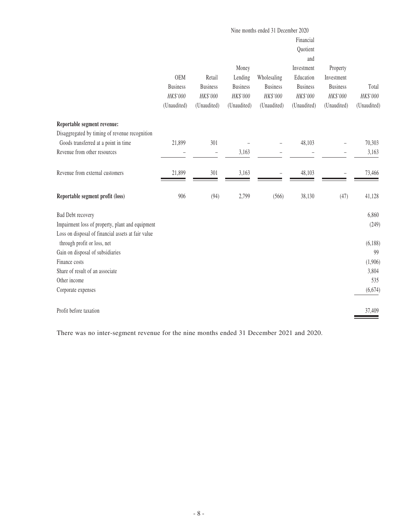|                                                                                                        | Nine months ended 31 December 2020<br>Financial<br>Quotient<br>and<br>Money<br>Investment<br>Property |                                   |                            |                                |                              |                               |             |
|--------------------------------------------------------------------------------------------------------|-------------------------------------------------------------------------------------------------------|-----------------------------------|----------------------------|--------------------------------|------------------------------|-------------------------------|-------------|
|                                                                                                        | <b>OEM</b><br><b>Business</b>                                                                         | Retail<br><b>Business</b>         | Lending<br><b>Business</b> | Wholesaling<br><b>Business</b> | Education<br><b>Business</b> | Investment<br><b>Business</b> | Total       |
|                                                                                                        | HK\$'000                                                                                              | HK\$'000                          | HK\$'000                   | HK\$'000                       | HK\$'000                     | HK\$'000                      | HK\$'000    |
|                                                                                                        | (Unaudited)                                                                                           | (Unaudited)                       | (Unaudited)                | (Unaudited)                    | (Unaudited)                  | (Unaudited)                   | (Unaudited) |
| Reportable segment revenue:                                                                            |                                                                                                       |                                   |                            |                                |                              |                               |             |
| Disaggregated by timing of revenue recognition                                                         |                                                                                                       |                                   |                            |                                |                              |                               |             |
| Goods transferred at a point in time                                                                   | 21,899                                                                                                | 301                               |                            |                                | 48,103                       |                               | 70,303      |
| Revenue from other resources                                                                           |                                                                                                       | $\hspace{1.0cm} - \hspace{1.0cm}$ | 3,163                      |                                |                              |                               | 3,163       |
| Revenue from external customers                                                                        | 21,899                                                                                                | 301                               | 3,163                      |                                | 48,103                       |                               | 73,466      |
| Reportable segment profit (loss)                                                                       | 906                                                                                                   | (94)                              | 2,799                      | (566)                          | 38,130                       | (47)                          | 41,128      |
| <b>Bad Debt recovery</b>                                                                               |                                                                                                       |                                   |                            |                                |                              |                               | 6,860       |
| Impairment loss of property, plant and equipment<br>Loss on disposal of financial assets at fair value |                                                                                                       |                                   |                            |                                |                              |                               | (249)       |
| through profit or loss, net                                                                            |                                                                                                       |                                   |                            |                                |                              |                               | (6,188)     |
| Gain on disposal of subsidiaries                                                                       |                                                                                                       |                                   |                            |                                |                              |                               | 99          |
| Finance costs                                                                                          |                                                                                                       |                                   |                            |                                |                              |                               | (1,906)     |
| Share of result of an associate                                                                        |                                                                                                       |                                   |                            |                                |                              |                               | 3,804       |
| Other income                                                                                           |                                                                                                       |                                   |                            |                                |                              |                               | 535         |
| Corporate expenses                                                                                     |                                                                                                       |                                   |                            |                                |                              |                               | (6,674)     |
| Profit before taxation                                                                                 |                                                                                                       |                                   |                            |                                |                              |                               | 37,409      |

There was no inter-segment revenue for the nine months ended 31 December 2021 and 2020.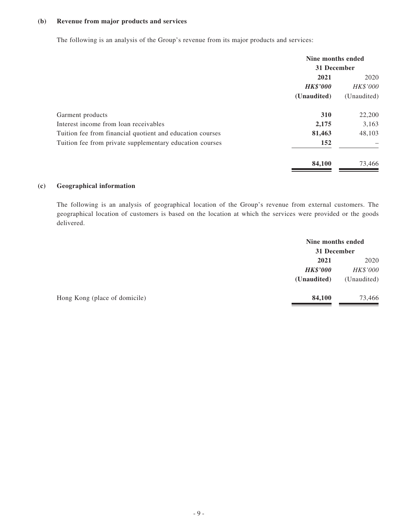#### **(b) Revenue from major products and services**

The following is an analysis of the Group's revenue from its major products and services:

|                                                           | Nine months ended |             |
|-----------------------------------------------------------|-------------------|-------------|
|                                                           | 31 December       |             |
|                                                           | 2021              | 2020        |
|                                                           | <b>HK\$'000</b>   | HK\$'000    |
|                                                           | (Unaudited)       | (Unaudited) |
| Garment products                                          | 310               | 22,200      |
| Interest income from loan receivables                     | 2,175             | 3,163       |
| Tuition fee from financial quotient and education courses | 81,463            | 48,103      |
| Tuition fee from private supplementary education courses  | 152               |             |
|                                                           | 84,100            | 73,466      |

#### **(c) Geographical information**

The following is an analysis of geographical location of the Group's revenue from external customers. The geographical location of customers is based on the location at which the services were provided or the goods delivered.

|                               | Nine months ended |             |
|-------------------------------|-------------------|-------------|
|                               | 31 December       |             |
|                               | 2021              | 2020        |
|                               | <b>HK\$'000</b>   | HK\$'000    |
|                               | (Unaudited)       | (Unaudited) |
| Hong Kong (place of domicile) | 84,100            | 73,466      |
|                               |                   |             |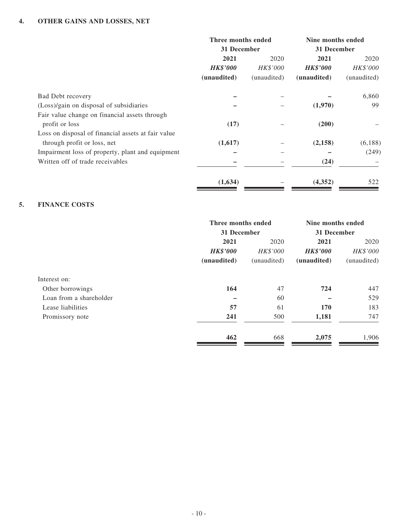|                                                    | Three months ended |                 | Nine months ended |             |  |
|----------------------------------------------------|--------------------|-----------------|-------------------|-------------|--|
|                                                    | 31 December        |                 | 31 December       |             |  |
|                                                    | 2021               | 2020            | 2021              | 2020        |  |
|                                                    | <b>HK\$'000</b>    | <b>HK\$'000</b> | <b>HK\$'000</b>   | HK\$'000    |  |
|                                                    | (unaudited)        | (unaudited)     | (unaudited)       | (unaudited) |  |
| <b>Bad Debt recovery</b>                           |                    |                 |                   | 6,860       |  |
| (Loss)/gain on disposal of subsidiaries            |                    |                 | (1,970)           | 99          |  |
| Fair value change on financial assets through      |                    |                 |                   |             |  |
| profit or loss                                     | (17)               |                 | (200)             |             |  |
| Loss on disposal of financial assets at fair value |                    |                 |                   |             |  |
| through profit or loss, net                        | (1,617)            |                 | (2,158)           | (6,188)     |  |
| Impairment loss of property, plant and equipment   |                    |                 |                   | (249)       |  |
| Written off of trade receivables                   |                    |                 | (24)              |             |  |
|                                                    | (1,634)            |                 | (4, 352)          | 522         |  |
|                                                    |                    |                 |                   |             |  |

#### **5. FINANCE COSTS**

|                         | Three months ended |                  | Nine months ended<br>31 December |             |  |
|-------------------------|--------------------|------------------|----------------------------------|-------------|--|
|                         | 31 December        |                  |                                  |             |  |
|                         | 2021               | 2020<br>HK\$'000 | 2021                             | 2020        |  |
|                         | <b>HK\$'000</b>    |                  | <b>HK\$'000</b>                  | HK\$'000    |  |
|                         | (unaudited)        | (unaudited)      | (unaudited)                      | (unaudited) |  |
| Interest on:            |                    |                  |                                  |             |  |
| Other borrowings        | 164                | 47               | 724                              | 447         |  |
| Loan from a shareholder |                    | 60               |                                  | 529         |  |
| Lease liabilities       | 57                 | 61               | 170                              | 183         |  |
| Promissory note         | 241                | 500              | 1,181                            | 747         |  |
|                         | 462                | 668              | 2,075                            | 1,906       |  |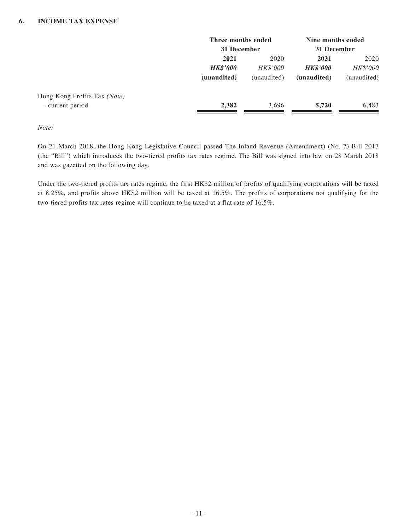|                              | Three months ended<br>31 December |                 | Nine months ended<br>31 December |             |  |
|------------------------------|-----------------------------------|-----------------|----------------------------------|-------------|--|
|                              | 2021                              | 2020            | 2021                             | 2020        |  |
|                              | <b>HK\$'000</b>                   | <i>HK\$'000</i> | <b>HK\$'000</b>                  | HK\$'000    |  |
|                              | (unaudited)                       | (unaudited)     | (unaudited)                      | (unaudited) |  |
| Hong Kong Profits Tax (Note) |                                   |                 |                                  |             |  |
| - current period             | 2,382                             | 3,696           | 5,720                            | 6,483       |  |

*Note:*

On 21 March 2018, the Hong Kong Legislative Council passed The Inland Revenue (Amendment) (No. 7) Bill 2017 (the "Bill") which introduces the two-tiered profits tax rates regime. The Bill was signed into law on 28 March 2018 and was gazetted on the following day.

Under the two-tiered profits tax rates regime, the first HK\$2 million of profits of qualifying corporations will be taxed at 8.25%, and profits above HK\$2 million will be taxed at 16.5%. The profits of corporations not qualifying for the two-tiered profits tax rates regime will continue to be taxed at a flat rate of 16.5%.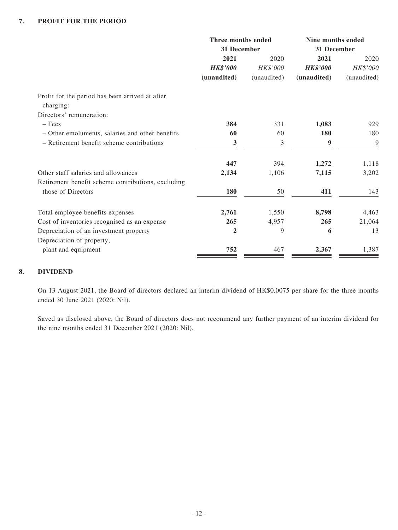|                                                    | Three months ended |                 | Nine months ended |             |  |
|----------------------------------------------------|--------------------|-----------------|-------------------|-------------|--|
|                                                    | 31 December        |                 | 31 December       |             |  |
|                                                    | 2021               | 2020            | 2021              | 2020        |  |
|                                                    | <b>HK\$'000</b>    | <b>HK\$'000</b> | <b>HK\$'000</b>   | HK\$'000    |  |
|                                                    | (unaudited)        | (unaudited)     | (unaudited)       | (unaudited) |  |
| Profit for the period has been arrived at after    |                    |                 |                   |             |  |
| charging:                                          |                    |                 |                   |             |  |
| Directors' remuneration:                           |                    |                 |                   |             |  |
| $-$ Fees                                           | 384                | 331             | 1,083             | 929         |  |
| - Other emoluments, salaries and other benefits    | 60                 | 60              | 180               | 180         |  |
| - Retirement benefit scheme contributions          | 3                  | 3               | 9                 | 9           |  |
|                                                    | 447                | 394             | 1,272             | 1,118       |  |
| Other staff salaries and allowances                | 2,134              | 1,106           | 7,115             | 3,202       |  |
| Retirement benefit scheme contributions, excluding |                    |                 |                   |             |  |
| those of Directors                                 | 180                | 50              | 411               | 143         |  |
| Total employee benefits expenses                   | 2,761              | 1,550           | 8,798             | 4,463       |  |
| Cost of inventories recognised as an expense       | 265                | 4,957           | 265               | 21,064      |  |
| Depreciation of an investment property             | $\overline{2}$     | 9               | 6                 | 13          |  |
| Depreciation of property,                          |                    |                 |                   |             |  |
| plant and equipment                                | 752                | 467             | 2,367             | 1,387       |  |

#### **8. DIVIDEND**

On 13 August 2021, the Board of directors declared an interim dividend of HK\$0.0075 per share for the three months ended 30 June 2021 (2020: Nil).

Saved as disclosed above, the Board of directors does not recommend any further payment of an interim dividend for the nine months ended 31 December 2021 (2020: Nil).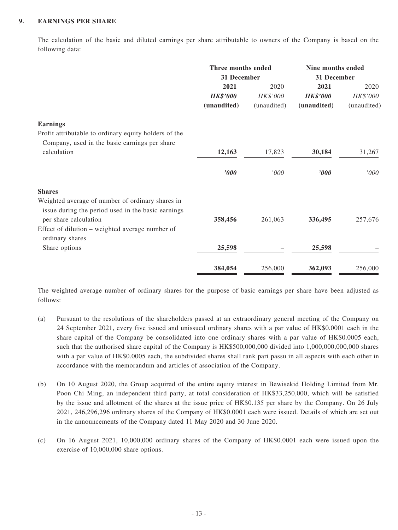#### **9. EARNINGS PER SHARE**

The calculation of the basic and diluted earnings per share attributable to owners of the Company is based on the following data:

|                                                       | Three months ended<br>31 December |             | Nine months ended<br>31 December |             |  |
|-------------------------------------------------------|-----------------------------------|-------------|----------------------------------|-------------|--|
|                                                       | 2021                              | 2020        | 2021                             | 2020        |  |
|                                                       | <b>HK\$'000</b>                   | HK\$'000    | <b>HK\$'000</b>                  | HK\$'000    |  |
|                                                       | (unaudited)                       | (unaudited) | (unaudited)                      | (unaudited) |  |
| <b>Earnings</b>                                       |                                   |             |                                  |             |  |
| Profit attributable to ordinary equity holders of the |                                   |             |                                  |             |  |
| Company, used in the basic earnings per share         |                                   |             |                                  |             |  |
| calculation                                           | 12,163                            | 17,823      | 30,184                           | 31,267      |  |
|                                                       | '000                              | '000        | '000                             | '000        |  |
| <b>Shares</b>                                         |                                   |             |                                  |             |  |
| Weighted average of number of ordinary shares in      |                                   |             |                                  |             |  |
| issue during the period used in the basic earnings    |                                   |             |                                  |             |  |
| per share calculation                                 | 358,456                           | 261,063     | 336,495                          | 257,676     |  |
| Effect of dilution – weighted average number of       |                                   |             |                                  |             |  |
| ordinary shares                                       |                                   |             |                                  |             |  |
| Share options                                         | 25,598                            |             | 25,598                           |             |  |
|                                                       | 384,054                           | 256,000     | 362,093                          | 256,000     |  |

The weighted average number of ordinary shares for the purpose of basic earnings per share have been adjusted as follows:

- (a) Pursuant to the resolutions of the shareholders passed at an extraordinary general meeting of the Company on 24 September 2021, every five issued and unissued ordinary shares with a par value of HK\$0.0001 each in the share capital of the Company be consolidated into one ordinary shares with a par value of HK\$0.0005 each, such that the authorised share capital of the Company is HK\$500,000,000 divided into 1,000,000,000,000 shares with a par value of HK\$0.0005 each, the subdivided shares shall rank pari passu in all aspects with each other in accordance with the memorandum and articles of association of the Company.
- (b) On 10 August 2020, the Group acquired of the entire equity interest in Bewisekid Holding Limited from Mr. Poon Chi Ming, an independent third party, at total consideration of HK\$33,250,000, which will be satisfied by the issue and allotment of the shares at the issue price of HK\$0.135 per share by the Company. On 26 July 2021, 246,296,296 ordinary shares of the Company of HK\$0.0001 each were issued. Details of which are set out in the announcements of the Company dated 11 May 2020 and 30 June 2020.
- (c) On 16 August 2021, 10,000,000 ordinary shares of the Company of HK\$0.0001 each were issued upon the exercise of 10,000,000 share options.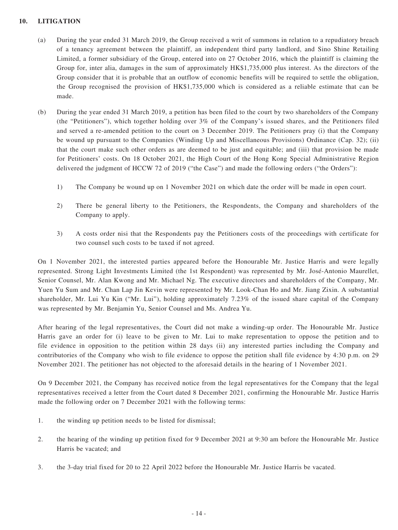#### **10. LITIGATION**

- (a) During the year ended 31 March 2019, the Group received a writ of summons in relation to a repudiatory breach of a tenancy agreement between the plaintiff, an independent third party landlord, and Sino Shine Retailing Limited, a former subsidiary of the Group, entered into on 27 October 2016, which the plaintiff is claiming the Group for, inter alia, damages in the sum of approximately HK\$1,735,000 plus interest. As the directors of the Group consider that it is probable that an outflow of economic benefits will be required to settle the obligation, the Group recognised the provision of HK\$1,735,000 which is considered as a reliable estimate that can be made.
- (b) During the year ended 31 March 2019, a petition has been filed to the court by two shareholders of the Company (the "Petitioners"), which together holding over 3% of the Company's issued shares, and the Petitioners filed and served a re-amended petition to the court on 3 December 2019. The Petitioners pray (i) that the Company be wound up pursuant to the Companies (Winding Up and Miscellaneous Provisions) Ordinance (Cap. 32); (ii) that the court make such other orders as are deemed to be just and equitable; and (iii) that provision be made for Petitioners' costs. On 18 October 2021, the High Court of the Hong Kong Special Administrative Region delivered the judgment of HCCW 72 of 2019 ("the Case") and made the following orders ("the Orders"):
	- 1) The Company be wound up on 1 November 2021 on which date the order will be made in open court.
	- 2) There be general liberty to the Petitioners, the Respondents, the Company and shareholders of the Company to apply.
	- 3) A costs order nisi that the Respondents pay the Petitioners costs of the proceedings with certificate for two counsel such costs to be taxed if not agreed.

On 1 November 2021, the interested parties appeared before the Honourable Mr. Justice Harris and were legally represented. Strong Light Investments Limited (the 1st Respondent) was represented by Mr. José-Antonio Maurellet, Senior Counsel, Mr. Alan Kwong and Mr. Michael Ng. The executive directors and shareholders of the Company, Mr. Yuen Yu Sum and Mr. Chan Lap Jin Kevin were represented by Mr. Look-Chan Ho and Mr. Jiang Zixin. A substantial shareholder, Mr. Lui Yu Kin ("Mr. Lui"), holding approximately 7.23% of the issued share capital of the Company was represented by Mr. Benjamin Yu, Senior Counsel and Ms. Andrea Yu.

After hearing of the legal representatives, the Court did not make a winding-up order. The Honourable Mr. Justice Harris gave an order for (i) leave to be given to Mr. Lui to make representation to oppose the petition and to file evidence in opposition to the petition within 28 days (ii) any interested parties including the Company and contributories of the Company who wish to file evidence to oppose the petition shall file evidence by 4:30 p.m. on 29 November 2021. The petitioner has not objected to the aforesaid details in the hearing of 1 November 2021.

On 9 December 2021, the Company has received notice from the legal representatives for the Company that the legal representatives received a letter from the Court dated 8 December 2021, confirming the Honourable Mr. Justice Harris made the following order on 7 December 2021 with the following terms:

- 1. the winding up petition needs to be listed for dismissal;
- 2. the hearing of the winding up petition fixed for 9 December 2021 at 9:30 am before the Honourable Mr. Justice Harris be vacated; and
- 3. the 3-day trial fixed for 20 to 22 April 2022 before the Honourable Mr. Justice Harris be vacated.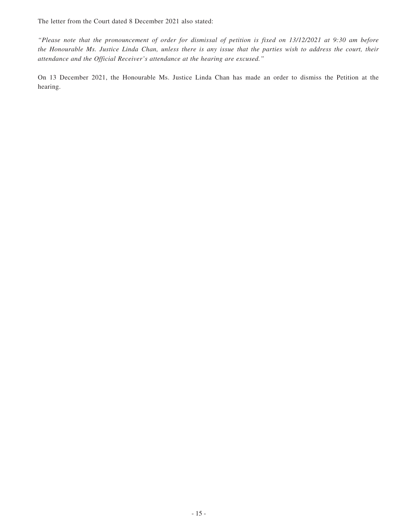The letter from the Court dated 8 December 2021 also stated:

*"Please note that the pronouncement of order for dismissal of petition is fixed on 13/12/2021 at 9:30 am before the Honourable Ms. Justice Linda Chan, unless there is any issue that the parties wish to address the court, their attendance and the Official Receiver's attendance at the hearing are excused."*

On 13 December 2021, the Honourable Ms. Justice Linda Chan has made an order to dismiss the Petition at the hearing.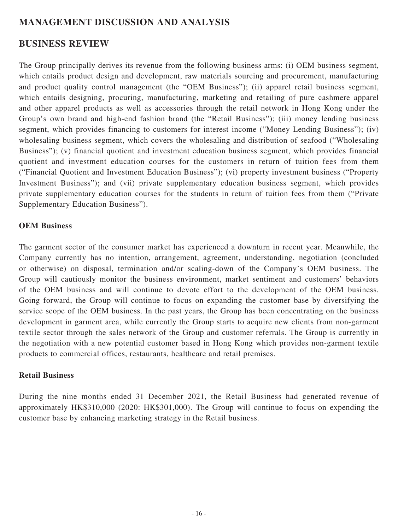# **MANAGEMENT DISCUSSION AND ANALYSIS**

### **BUSINESS REVIEW**

The Group principally derives its revenue from the following business arms: (i) OEM business segment, which entails product design and development, raw materials sourcing and procurement, manufacturing and product quality control management (the "OEM Business"); (ii) apparel retail business segment, which entails designing, procuring, manufacturing, marketing and retailing of pure cashmere apparel and other apparel products as well as accessories through the retail network in Hong Kong under the Group's own brand and high-end fashion brand (the "Retail Business"); (iii) money lending business segment, which provides financing to customers for interest income ("Money Lending Business"); (iv) wholesaling business segment, which covers the wholesaling and distribution of seafood ("Wholesaling Business"); (v) financial quotient and investment education business segment, which provides financial quotient and investment education courses for the customers in return of tuition fees from them ("Financial Quotient and Investment Education Business"); (vi) property investment business ("Property Investment Business"); and (vii) private supplementary education business segment, which provides private supplementary education courses for the students in return of tuition fees from them ("Private Supplementary Education Business").

#### **OEM Business**

The garment sector of the consumer market has experienced a downturn in recent year. Meanwhile, the Company currently has no intention, arrangement, agreement, understanding, negotiation (concluded or otherwise) on disposal, termination and/or scaling-down of the Company's OEM business. The Group will cautiously monitor the business environment, market sentiment and customers' behaviors of the OEM business and will continue to devote effort to the development of the OEM business. Going forward, the Group will continue to focus on expanding the customer base by diversifying the service scope of the OEM business. In the past years, the Group has been concentrating on the business development in garment area, while currently the Group starts to acquire new clients from non-garment textile sector through the sales network of the Group and customer referrals. The Group is currently in the negotiation with a new potential customer based in Hong Kong which provides non-garment textile products to commercial offices, restaurants, healthcare and retail premises.

### **Retail Business**

During the nine months ended 31 December 2021, the Retail Business had generated revenue of approximately HK\$310,000 (2020: HK\$301,000). The Group will continue to focus on expending the customer base by enhancing marketing strategy in the Retail business.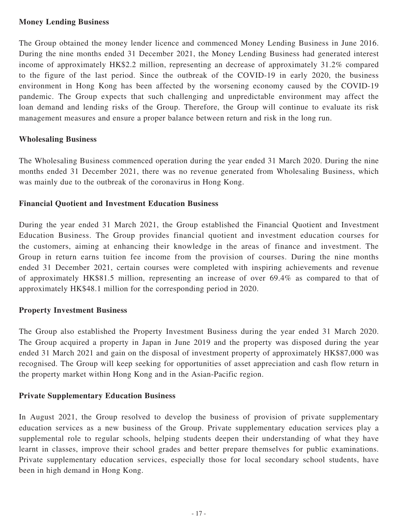### **Money Lending Business**

The Group obtained the money lender licence and commenced Money Lending Business in June 2016. During the nine months ended 31 December 2021, the Money Lending Business had generated interest income of approximately HK\$2.2 million, representing an decrease of approximately 31.2% compared to the figure of the last period. Since the outbreak of the COVID-19 in early 2020, the business environment in Hong Kong has been affected by the worsening economy caused by the COVID-19 pandemic. The Group expects that such challenging and unpredictable environment may affect the loan demand and lending risks of the Group. Therefore, the Group will continue to evaluate its risk management measures and ensure a proper balance between return and risk in the long run.

### **Wholesaling Business**

The Wholesaling Business commenced operation during the year ended 31 March 2020. During the nine months ended 31 December 2021, there was no revenue generated from Wholesaling Business, which was mainly due to the outbreak of the coronavirus in Hong Kong.

#### **Financial Quotient and Investment Education Business**

During the year ended 31 March 2021, the Group established the Financial Quotient and Investment Education Business. The Group provides financial quotient and investment education courses for the customers, aiming at enhancing their knowledge in the areas of finance and investment. The Group in return earns tuition fee income from the provision of courses. During the nine months ended 31 December 2021, certain courses were completed with inspiring achievements and revenue of approximately HK\$81.5 million, representing an increase of over 69.4% as compared to that of approximately HK\$48.1 million for the corresponding period in 2020.

### **Property Investment Business**

The Group also established the Property Investment Business during the year ended 31 March 2020. The Group acquired a property in Japan in June 2019 and the property was disposed during the year ended 31 March 2021 and gain on the disposal of investment property of approximately HK\$87,000 was recognised. The Group will keep seeking for opportunities of asset appreciation and cash flow return in the property market within Hong Kong and in the Asian-Pacific region.

### **Private Supplementary Education Business**

In August 2021, the Group resolved to develop the business of provision of private supplementary education services as a new business of the Group. Private supplementary education services play a supplemental role to regular schools, helping students deepen their understanding of what they have learnt in classes, improve their school grades and better prepare themselves for public examinations. Private supplementary education services, especially those for local secondary school students, have been in high demand in Hong Kong.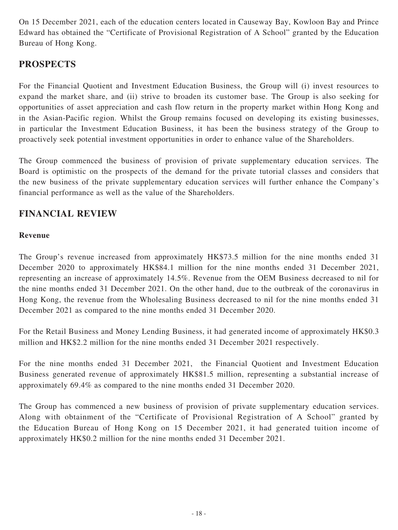On 15 December 2021, each of the education centers located in Causeway Bay, Kowloon Bay and Prince Edward has obtained the "Certificate of Provisional Registration of A School" granted by the Education Bureau of Hong Kong.

# **PROSPECTS**

For the Financial Quotient and Investment Education Business, the Group will (i) invest resources to expand the market share, and (ii) strive to broaden its customer base. The Group is also seeking for opportunities of asset appreciation and cash flow return in the property market within Hong Kong and in the Asian-Pacific region. Whilst the Group remains focused on developing its existing businesses, in particular the Investment Education Business, it has been the business strategy of the Group to proactively seek potential investment opportunities in order to enhance value of the Shareholders.

The Group commenced the business of provision of private supplementary education services. The Board is optimistic on the prospects of the demand for the private tutorial classes and considers that the new business of the private supplementary education services will further enhance the Company's financial performance as well as the value of the Shareholders.

# **FINANCIAL REVIEW**

### **Revenue**

The Group's revenue increased from approximately HK\$73.5 million for the nine months ended 31 December 2020 to approximately HK\$84.1 million for the nine months ended 31 December 2021, representing an increase of approximately 14.5%. Revenue from the OEM Business decreased to nil for the nine months ended 31 December 2021. On the other hand, due to the outbreak of the coronavirus in Hong Kong, the revenue from the Wholesaling Business decreased to nil for the nine months ended 31 December 2021 as compared to the nine months ended 31 December 2020.

For the Retail Business and Money Lending Business, it had generated income of approximately HK\$0.3 million and HK\$2.2 million for the nine months ended 31 December 2021 respectively.

For the nine months ended 31 December 2021, the Financial Quotient and Investment Education Business generated revenue of approximately HK\$81.5 million, representing a substantial increase of approximately 69.4% as compared to the nine months ended 31 December 2020.

The Group has commenced a new business of provision of private supplementary education services. Along with obtainment of the "Certificate of Provisional Registration of A School" granted by the Education Bureau of Hong Kong on 15 December 2021, it had generated tuition income of approximately HK\$0.2 million for the nine months ended 31 December 2021.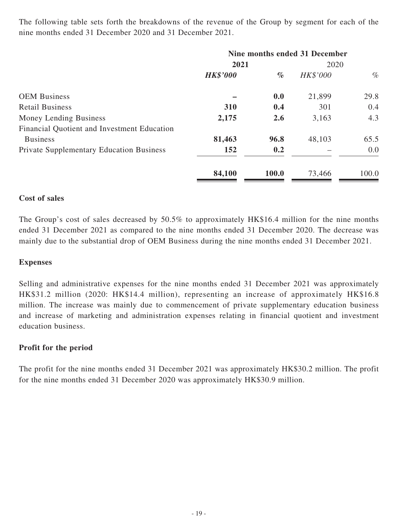The following table sets forth the breakdowns of the revenue of the Group by segment for each of the nine months ended 31 December 2020 and 31 December 2021.

|                                                 | Nine months ended 31 December |       |          |       |
|-------------------------------------------------|-------------------------------|-------|----------|-------|
|                                                 | 2021                          |       | 2020     |       |
|                                                 | <b>HK\$'000</b>               | $\%$  | HK\$'000 | $\%$  |
| <b>OEM Business</b>                             |                               | 0.0   | 21,899   | 29.8  |
| <b>Retail Business</b>                          | 310                           | 0.4   | 301      | 0.4   |
| Money Lending Business                          | 2,175                         | 2.6   | 3,163    | 4.3   |
| Financial Quotient and Investment Education     |                               |       |          |       |
| <b>Business</b>                                 | 81,463                        | 96.8  | 48,103   | 65.5  |
| <b>Private Supplementary Education Business</b> | 152                           | 0.2   |          | 0.0   |
|                                                 | 84,100                        | 100.0 | 73,466   | 100.0 |

#### **Cost of sales**

The Group's cost of sales decreased by 50.5% to approximately HK\$16.4 million for the nine months ended 31 December 2021 as compared to the nine months ended 31 December 2020. The decrease was mainly due to the substantial drop of OEM Business during the nine months ended 31 December 2021.

#### **Expenses**

Selling and administrative expenses for the nine months ended 31 December 2021 was approximately HK\$31.2 million (2020: HK\$14.4 million), representing an increase of approximately HK\$16.8 million. The increase was mainly due to commencement of private supplementary education business and increase of marketing and administration expenses relating in financial quotient and investment education business.

#### **Profit for the period**

The profit for the nine months ended 31 December 2021 was approximately HK\$30.2 million. The profit for the nine months ended 31 December 2020 was approximately HK\$30.9 million.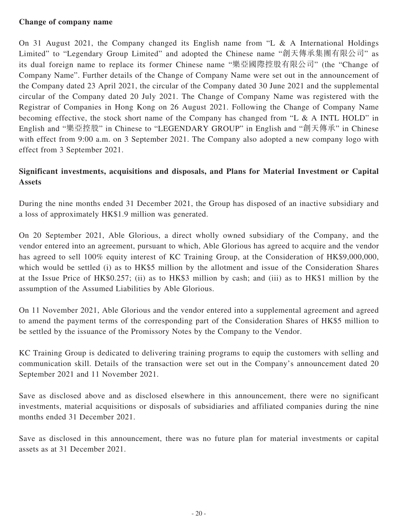### **Change of company name**

On 31 August 2021, the Company changed its English name from "L & A International Holdings Limited" to "Legendary Group Limited" and adopted the Chinese name "創天傳承集團有限公司" as its dual foreign name to replace its former Chinese name "樂亞國際控股有限公司" (the "Change of Company Name". Further details of the Change of Company Name were set out in the announcement of the Company dated 23 April 2021, the circular of the Company dated 30 June 2021 and the supplemental circular of the Company dated 20 July 2021. The Change of Company Name was registered with the Registrar of Companies in Hong Kong on 26 August 2021. Following the Change of Company Name becoming effective, the stock short name of the Company has changed from "L & A INTL HOLD" in English and "樂亞控股" in Chinese to "LEGENDARY GROUP" in English and "創天傳承" in Chinese with effect from 9:00 a.m. on 3 September 2021. The Company also adopted a new company logo with effect from 3 September 2021.

### **Significant investments, acquisitions and disposals, and Plans for Material Investment or Capital Assets**

During the nine months ended 31 December 2021, the Group has disposed of an inactive subsidiary and a loss of approximately HK\$1.9 million was generated.

On 20 September 2021, Able Glorious, a direct wholly owned subsidiary of the Company, and the vendor entered into an agreement, pursuant to which, Able Glorious has agreed to acquire and the vendor has agreed to sell 100% equity interest of KC Training Group, at the Consideration of HK\$9,000,000, which would be settled (i) as to HK\$5 million by the allotment and issue of the Consideration Shares at the Issue Price of HK\$0.257; (ii) as to HK\$3 million by cash; and (iii) as to HK\$1 million by the assumption of the Assumed Liabilities by Able Glorious.

On 11 November 2021, Able Glorious and the vendor entered into a supplemental agreement and agreed to amend the payment terms of the corresponding part of the Consideration Shares of HK\$5 million to be settled by the issuance of the Promissory Notes by the Company to the Vendor.

KC Training Group is dedicated to delivering training programs to equip the customers with selling and communication skill. Details of the transaction were set out in the Company's announcement dated 20 September 2021 and 11 November 2021.

Save as disclosed above and as disclosed elsewhere in this announcement, there were no significant investments, material acquisitions or disposals of subsidiaries and affiliated companies during the nine months ended 31 December 2021.

Save as disclosed in this announcement, there was no future plan for material investments or capital assets as at 31 December 2021.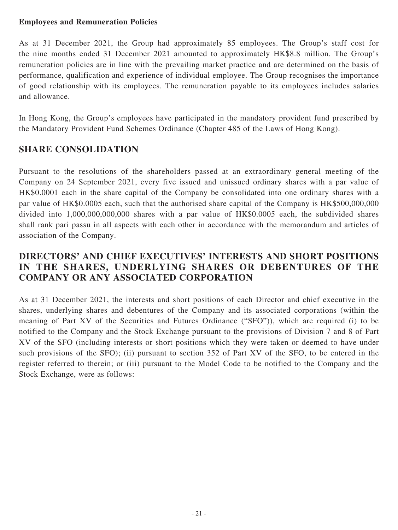### **Employees and Remuneration Policies**

As at 31 December 2021, the Group had approximately 85 employees. The Group's staff cost for the nine months ended 31 December 2021 amounted to approximately HK\$8.8 million. The Group's remuneration policies are in line with the prevailing market practice and are determined on the basis of performance, qualification and experience of individual employee. The Group recognises the importance of good relationship with its employees. The remuneration payable to its employees includes salaries and allowance.

In Hong Kong, the Group's employees have participated in the mandatory provident fund prescribed by the Mandatory Provident Fund Schemes Ordinance (Chapter 485 of the Laws of Hong Kong).

# **SHARE CONSOLIDATION**

Pursuant to the resolutions of the shareholders passed at an extraordinary general meeting of the Company on 24 September 2021, every five issued and unissued ordinary shares with a par value of HK\$0.0001 each in the share capital of the Company be consolidated into one ordinary shares with a par value of HK\$0.0005 each, such that the authorised share capital of the Company is HK\$500,000,000 divided into 1,000,000,000,000 shares with a par value of HK\$0.0005 each, the subdivided shares shall rank pari passu in all aspects with each other in accordance with the memorandum and articles of association of the Company.

# **DIRECTORS' AND CHIEF EXECUTIVES' INTERESTS AND SHORT POSITIONS IN THE SHARES, UNDERLYING SHARES OR DEBENTURES OF THE COMPANY OR ANY ASSOCIATED CORPORATION**

As at 31 December 2021, the interests and short positions of each Director and chief executive in the shares, underlying shares and debentures of the Company and its associated corporations (within the meaning of Part XV of the Securities and Futures Ordinance ("SFO")), which are required (i) to be notified to the Company and the Stock Exchange pursuant to the provisions of Division 7 and 8 of Part XV of the SFO (including interests or short positions which they were taken or deemed to have under such provisions of the SFO); (ii) pursuant to section 352 of Part XV of the SFO, to be entered in the register referred to therein; or (iii) pursuant to the Model Code to be notified to the Company and the Stock Exchange, were as follows: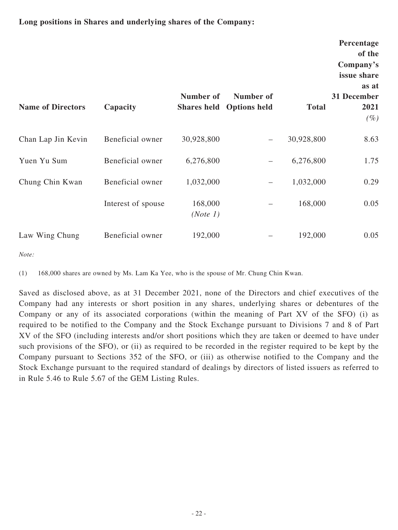### **Long positions in Shares and underlying shares of the Company:**

| <b>Name of Directors</b> | Capacity           | Number of<br><b>Shares held</b> | Number of<br><b>Options held</b> | <b>Total</b> | Percentage<br>of the<br>Company's<br>issue share<br>as at<br>31 December<br>2021<br>$(\%)$ |
|--------------------------|--------------------|---------------------------------|----------------------------------|--------------|--------------------------------------------------------------------------------------------|
| Chan Lap Jin Kevin       | Beneficial owner   | 30,928,800                      | $\qquad \qquad -$                | 30,928,800   | 8.63                                                                                       |
| Yuen Yu Sum              | Beneficial owner   | 6,276,800                       |                                  | 6,276,800    | 1.75                                                                                       |
| Chung Chin Kwan          | Beneficial owner   | 1,032,000                       | —                                | 1,032,000    | 0.29                                                                                       |
|                          | Interest of spouse | 168,000<br>(Note 1)             |                                  | 168,000      | 0.05                                                                                       |
| Law Wing Chung           | Beneficial owner   | 192,000                         |                                  | 192,000      | 0.05                                                                                       |

*Note:*

(1) 168,000 shares are owned by Ms. Lam Ka Yee, who is the spouse of Mr. Chung Chin Kwan.

Saved as disclosed above, as at 31 December 2021, none of the Directors and chief executives of the Company had any interests or short position in any shares, underlying shares or debentures of the Company or any of its associated corporations (within the meaning of Part XV of the SFO) (i) as required to be notified to the Company and the Stock Exchange pursuant to Divisions 7 and 8 of Part XV of the SFO (including interests and/or short positions which they are taken or deemed to have under such provisions of the SFO), or (ii) as required to be recorded in the register required to be kept by the Company pursuant to Sections 352 of the SFO, or (iii) as otherwise notified to the Company and the Stock Exchange pursuant to the required standard of dealings by directors of listed issuers as referred to in Rule 5.46 to Rule 5.67 of the GEM Listing Rules.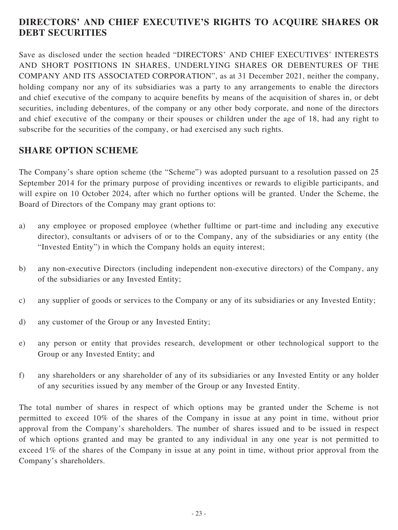# **DIRECTORS' AND CHIEF EXECUTIVE'S RIGHTS TO ACQUIRE SHARES OR DEBT SECURITIES**

Save as disclosed under the section headed "DIRECTORS' AND CHIEF EXECUTIVES' INTERESTS AND SHORT POSITIONS IN SHARES, UNDERLYING SHARES OR DEBENTURES OF THE COMPANY AND ITS ASSOCIATED CORPORATION", as at 31 December 2021, neither the company, holding company nor any of its subsidiaries was a party to any arrangements to enable the directors and chief executive of the company to acquire benefits by means of the acquisition of shares in, or debt securities, including debentures, of the company or any other body corporate, and none of the directors and chief executive of the company or their spouses or children under the age of 18, had any right to subscribe for the securities of the company, or had exercised any such rights.

# **SHARE OPTION SCHEME**

The Company's share option scheme (the "Scheme") was adopted pursuant to a resolution passed on 25 September 2014 for the primary purpose of providing incentives or rewards to eligible participants, and will expire on 10 October 2024, after which no further options will be granted. Under the Scheme, the Board of Directors of the Company may grant options to:

- a) any employee or proposed employee (whether fulltime or part-time and including any executive director), consultants or advisers of or to the Company, any of the subsidiaries or any entity (the "Invested Entity") in which the Company holds an equity interest;
- b) any non-executive Directors (including independent non-executive directors) of the Company, any of the subsidiaries or any Invested Entity;
- c) any supplier of goods or services to the Company or any of its subsidiaries or any Invested Entity;
- d) any customer of the Group or any Invested Entity;
- e) any person or entity that provides research, development or other technological support to the Group or any Invested Entity; and
- f) any shareholders or any shareholder of any of its subsidiaries or any Invested Entity or any holder of any securities issued by any member of the Group or any Invested Entity.

The total number of shares in respect of which options may be granted under the Scheme is not permitted to exceed 10% of the shares of the Company in issue at any point in time, without prior approval from the Company's shareholders. The number of shares issued and to be issued in respect of which options granted and may be granted to any individual in any one year is not permitted to exceed 1% of the shares of the Company in issue at any point in time, without prior approval from the Company's shareholders.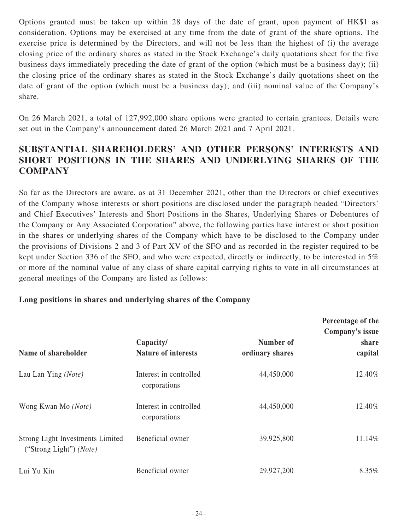Options granted must be taken up within 28 days of the date of grant, upon payment of HK\$1 as consideration. Options may be exercised at any time from the date of grant of the share options. The exercise price is determined by the Directors, and will not be less than the highest of (i) the average closing price of the ordinary shares as stated in the Stock Exchange's daily quotations sheet for the five business days immediately preceding the date of grant of the option (which must be a business day); (ii) the closing price of the ordinary shares as stated in the Stock Exchange's daily quotations sheet on the date of grant of the option (which must be a business day); and (iii) nominal value of the Company's share.

On 26 March 2021, a total of 127,992,000 share options were granted to certain grantees. Details were set out in the Company's announcement dated 26 March 2021 and 7 April 2021.

# **SUBSTANTIAL SHAREHOLDERS' AND OTHER PERSONS' INTERESTS AND SHORT POSITIONS IN THE SHARES AND UNDERLYING SHARES OF THE COMPANY**

So far as the Directors are aware, as at 31 December 2021, other than the Directors or chief executives of the Company whose interests or short positions are disclosed under the paragraph headed "Directors' and Chief Executives' Interests and Short Positions in the Shares, Underlying Shares or Debentures of the Company or Any Associated Corporation" above, the following parties have interest or short position in the shares or underlying shares of the Company which have to be disclosed to the Company under the provisions of Divisions 2 and 3 of Part XV of the SFO and as recorded in the register required to be kept under Section 336 of the SFO, and who were expected, directly or indirectly, to be interested in 5% or more of the nominal value of any class of share capital carrying rights to vote in all circumstances at general meetings of the Company are listed as follows:

### **Long positions in shares and underlying shares of the Company**

| Name of shareholder                                                  | Capacity/<br><b>Nature of interests</b> | Number of<br>ordinary shares | Percentage of the<br>Company's issue<br>share<br>capital |
|----------------------------------------------------------------------|-----------------------------------------|------------------------------|----------------------------------------------------------|
| Lau Lan Ying (Note)                                                  | Interest in controlled<br>corporations  | 44,450,000                   | 12.40%                                                   |
| Wong Kwan Mo (Note)                                                  | Interest in controlled<br>corporations  | 44,450,000                   | 12.40%                                                   |
| Strong Light Investments Limited<br>("Strong Light") ( <i>Note</i> ) | Beneficial owner                        | 39,925,800                   | 11.14%                                                   |
| Lui Yu Kin                                                           | Beneficial owner                        | 29,927,200                   | 8.35%                                                    |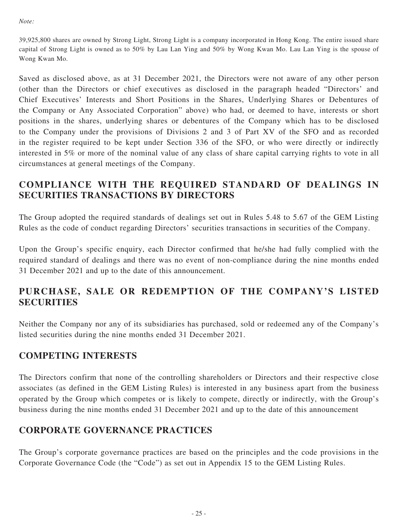*Note:*

39,925,800 shares are owned by Strong Light, Strong Light is a company incorporated in Hong Kong. The entire issued share capital of Strong Light is owned as to 50% by Lau Lan Ying and 50% by Wong Kwan Mo. Lau Lan Ying is the spouse of Wong Kwan Mo.

Saved as disclosed above, as at 31 December 2021, the Directors were not aware of any other person (other than the Directors or chief executives as disclosed in the paragraph headed "Directors' and Chief Executives' Interests and Short Positions in the Shares, Underlying Shares or Debentures of the Company or Any Associated Corporation" above) who had, or deemed to have, interests or short positions in the shares, underlying shares or debentures of the Company which has to be disclosed to the Company under the provisions of Divisions 2 and 3 of Part XV of the SFO and as recorded in the register required to be kept under Section 336 of the SFO, or who were directly or indirectly interested in 5% or more of the nominal value of any class of share capital carrying rights to vote in all circumstances at general meetings of the Company.

# **COMPLIANCE WITH THE REQUIRED STANDARD OF DEALINGS IN SECURITIES TRANSACTIONS BY DIRECTORS**

The Group adopted the required standards of dealings set out in Rules 5.48 to 5.67 of the GEM Listing Rules as the code of conduct regarding Directors' securities transactions in securities of the Company.

Upon the Group's specific enquiry, each Director confirmed that he/she had fully complied with the required standard of dealings and there was no event of non-compliance during the nine months ended 31 December 2021 and up to the date of this announcement.

# **PURCHASE, SALE OR REDEMPTION OF THE COMPANY'S LISTED SECURITIES**

Neither the Company nor any of its subsidiaries has purchased, sold or redeemed any of the Company's listed securities during the nine months ended 31 December 2021.

### **COMPETING INTERESTS**

The Directors confirm that none of the controlling shareholders or Directors and their respective close associates (as defined in the GEM Listing Rules) is interested in any business apart from the business operated by the Group which competes or is likely to compete, directly or indirectly, with the Group's business during the nine months ended 31 December 2021 and up to the date of this announcement

# **CORPORATE GOVERNANCE PRACTICES**

The Group's corporate governance practices are based on the principles and the code provisions in the Corporate Governance Code (the "Code") as set out in Appendix 15 to the GEM Listing Rules.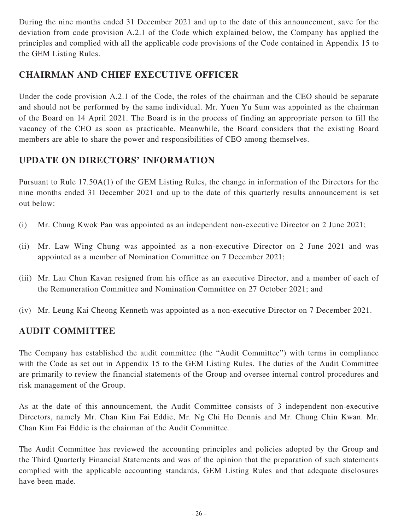During the nine months ended 31 December 2021 and up to the date of this announcement, save for the deviation from code provision A.2.1 of the Code which explained below, the Company has applied the principles and complied with all the applicable code provisions of the Code contained in Appendix 15 to the GEM Listing Rules.

# **CHAIRMAN AND CHIEF EXECUTIVE OFFICER**

Under the code provision A.2.1 of the Code, the roles of the chairman and the CEO should be separate and should not be performed by the same individual. Mr. Yuen Yu Sum was appointed as the chairman of the Board on 14 April 2021. The Board is in the process of finding an appropriate person to fill the vacancy of the CEO as soon as practicable. Meanwhile, the Board considers that the existing Board members are able to share the power and responsibilities of CEO among themselves.

# **UPDATE ON DIRECTORS' INFORMATION**

Pursuant to Rule 17.50A(1) of the GEM Listing Rules, the change in information of the Directors for the nine months ended 31 December 2021 and up to the date of this quarterly results announcement is set out below:

- (i) Mr. Chung Kwok Pan was appointed as an independent non-executive Director on 2 June 2021;
- (ii) Mr. Law Wing Chung was appointed as a non-executive Director on 2 June 2021 and was appointed as a member of Nomination Committee on 7 December 2021;
- (iii) Mr. Lau Chun Kavan resigned from his office as an executive Director, and a member of each of the Remuneration Committee and Nomination Committee on 27 October 2021; and
- (iv) Mr. Leung Kai Cheong Kenneth was appointed as a non-executive Director on 7 December 2021.

# **AUDIT COMMITTEE**

The Company has established the audit committee (the "Audit Committee") with terms in compliance with the Code as set out in Appendix 15 to the GEM Listing Rules. The duties of the Audit Committee are primarily to review the financial statements of the Group and oversee internal control procedures and risk management of the Group.

As at the date of this announcement, the Audit Committee consists of 3 independent non-executive Directors, namely Mr. Chan Kim Fai Eddie, Mr. Ng Chi Ho Dennis and Mr. Chung Chin Kwan. Mr. Chan Kim Fai Eddie is the chairman of the Audit Committee.

The Audit Committee has reviewed the accounting principles and policies adopted by the Group and the Third Quarterly Financial Statements and was of the opinion that the preparation of such statements complied with the applicable accounting standards, GEM Listing Rules and that adequate disclosures have been made.